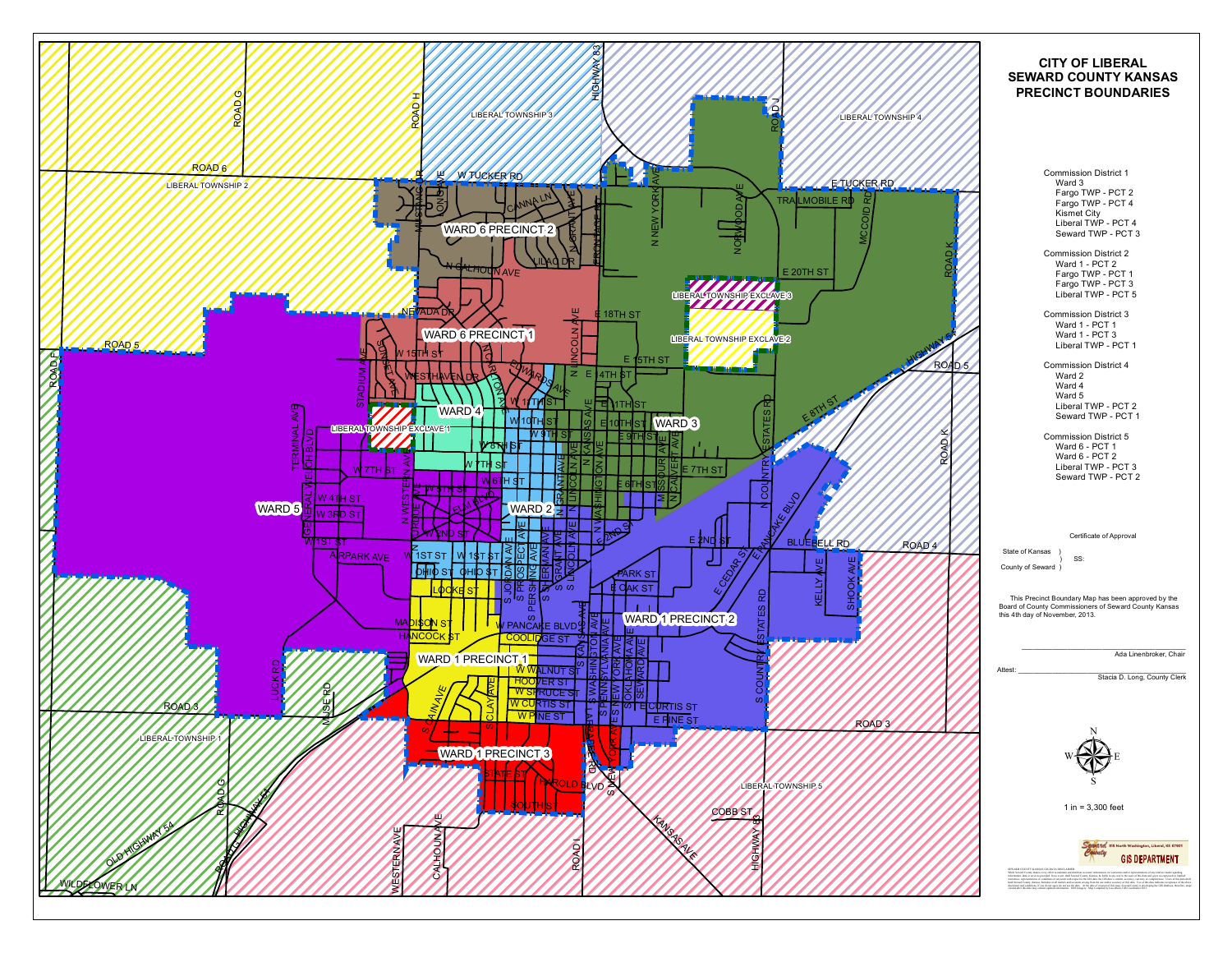